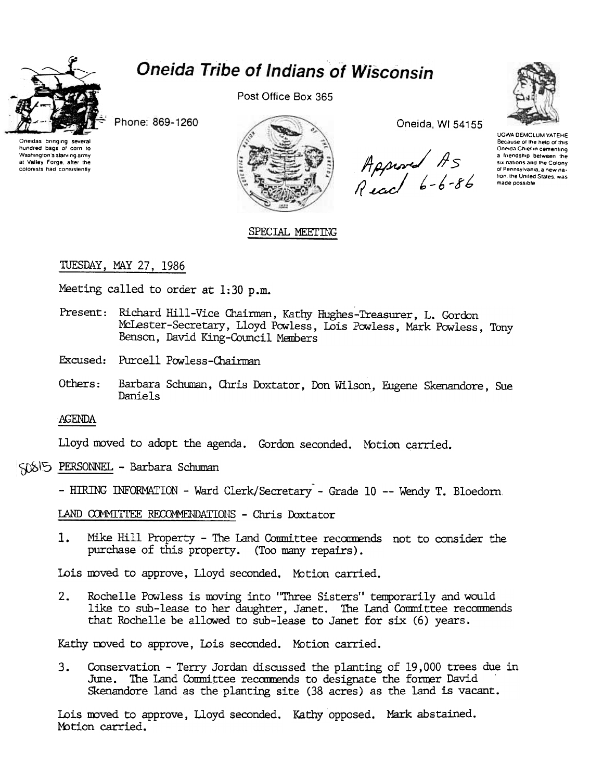

hundred bags of corn to

Washington's starving army

at Valley Forge, alter the colonists had consistently

# **Oneida Tribe of Indians of Wisconsin**

Post Office Box 365

Phone: 869-1260



Oneida, WI 54155

Appered AS<br>Read 6-6-86



**UGWA DEMOLUM YATEHE** Because of the help of this Oneida Chief in cementing a friendship between the six nations and the Colony of Pennsylvania, a new nation, the United States, was made possible

SPECIAL MEETING

# TUESDAY, MAY 27, 1986

Meeting called to order at  $1:30$  p.m.

Present: Richard Hill-Vice Chairman, Kathy Hughes-Treasurer, L. Gordon McLester-Secretary, Lloyd Powless, Lois Powless, Mark Powless, Tony Benson, David King-Council Members

Excused: Purcell Powless-Chairman

Others: Barbara Schuman, Chris Doxtator, Don Wilson, Eugene Skenandore, Sue Daniels

**AGENDA** 

Lloyd moved to adopt the agenda. Gordon seconded. Motion carried.

SOSIS PERSONNEL - Barbara Schuman

- HIRING INFORMATION - Ward Clerk/Secretary - Grade 10 -- Wendy T. Bloedorn.

LAND COMMITTEE RECOMMENDATIONS - Chris Doxtator

Mike Hill Property - The Land Committee recommends not to consider the  $1.$ purchase of this property. (Too many repairs).

Lois moved to approve, Lloyd seconded. Motion carried.

Rochelle Powless is moving into "Three Sisters" temporarily and would  $2.$ like to sub-lease to her daughter, Janet. The Land Committee recommends that Rochelle be allowed to sub-lease to Janet for six (6) years.

Kathy moved to approve, Lois seconded. Motion carried.

3. Conservation - Terry Jordan discussed the planting of 19,000 trees due in June. The Land Committee recommends to designate the former David Skenandore land as the planting site (38 acres) as the land is vacant.

Lois moved to approve, Lloyd seconded. Kathy opposed. Mark abstained. Motion carried.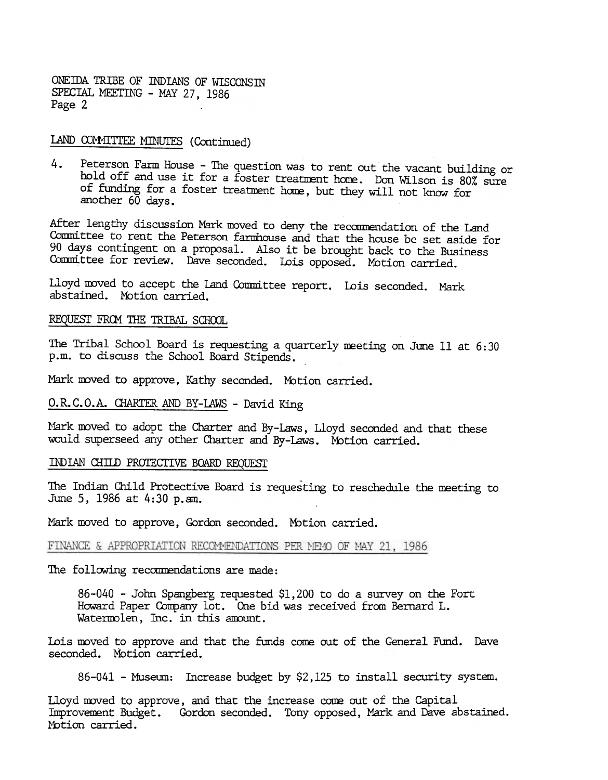ONEIDA TRIBE OF INDIANS OF WISCONSIN SPECIAL MEETING - MAY 27, 1986 Page 2

## LAND COMMITTEE MINUTES (Continued

Peterson Farm House - The question was to rent out the vacant building or 4. hold off and use it for a foster treatment home. Don Wilson is 80% sure of funding for a foster treatment home, but they will not know for another 60 days.

After lengthy discussion Mark moved to deny the recommendation of the Land Committee to rent the Peterson farmhouse and that the house be set aside for 90 days contingent on a proposal. Also it be brought back to the Business Committee for review. Dave seconded. Lois opposed. Motion carried.

Lloyd moved to accept the Land Committee report. Lois seconded. Mark abstained. MOtion carried.

## REQUEST FROM THE TRIBAL SCHOOL

The Tribal SChool Board is requesting a quarterly meeting on June 11 at 6:30 p.m. to discuss the SChool Board Stipends. .

Mark moved to approve, Kathy seconded. Motion carried.

# O.R.C.O.A. CHARTER AND BY-LAWS - David King

Mark moved to adopt the Charter and By-Laws, Lloyd seconded and that these would superseed any other Charter and By-Laws. Motion carried.

#### INDIAN CHILD PROTECTIVE BOARD REQUEST

The Indian Child Protective Board is requesting to reschedule the meeting to June 5, 1986 at 4:30 p.am.

Mark moved to approve, Gordon seconded. Motion carried.

#### FINANCE & APPROPRIATION RECOMMENDATIONS PER MEMO OF MAY 21, 1986

The following recommendations are made:

86-040 -John Spangberg requested \$1,200 to do a survey on the Fort Howard Paper Company lot. One bid was received from Bernard L. Watermolen, Inc. in this amount.

Lois moved to approve and that the funds come out of the General Fund. Dave seconded. Motion carried.

 $86-041$  - Museum: Increase budget by \$2,125 to install security system.

Lloyd moved to approve, and that the increase come out of the Capital Improvement Budget. Gordon seconded. Tony opposed, Mark and Dave abstained. Motion carried.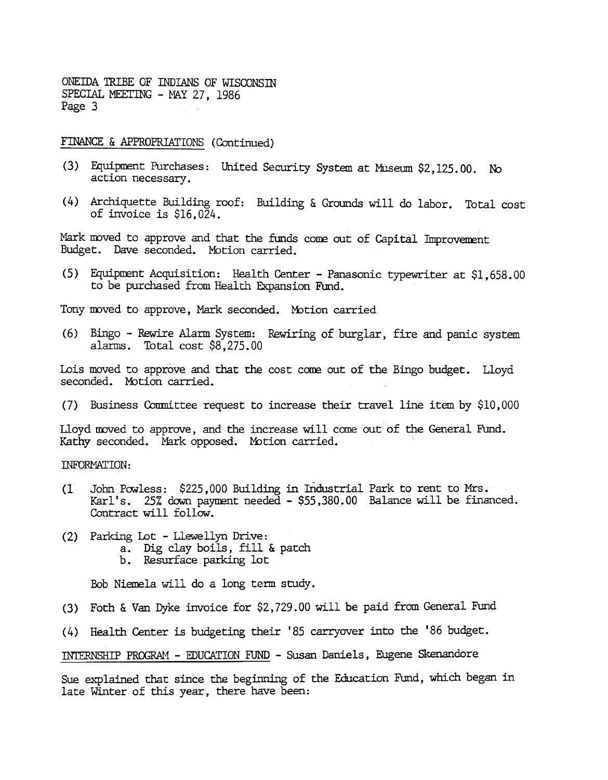ONEIDA TRIBE OF INDIANS OF WISCONSIN SPECIAL MEETING - MAY 27, 1986 Page 3

## FINANCE & APPROPRIATIONS (Continued)

- (3) Equipment Purchases: United Security System at Museum \$2,125.00. N action necessary.
- (4) Archiquette Building roof: Building & Grounds will do labor. Total cost of invoice is \$16,024.

Mark moved to approve and that the funds come out of Capital Improvement Budget. Dave seconded. Motion carried.

(5) Equipment Acquisition: Health Center - Panasonic typewriter at  $$1,658.00$ to be purchased from Health Expansion Fund.

Tony moved to approve, Mark seconded. Motion carried.

(6) Bingo – Rewire Alarm System: Rewiring of burglar, fire and panic system alarms. Total cost \$8,275.00

Lois moved to approve and that the cost come out of the Bingo budget. Lloyd seconded. Motion carried.

(7) Business Committee request to increase their travel line item by \$10,000

Lloyd moved to approve, and the increase will come out of the General Fund. Kathy seconded. Mark opposed. Motion carried.

INFORMATION:

- (1 John Powless: \$225,000 Building in Industrial Park to rent to Mrs. Karl's. 25% down payment needed - \$55,380.00 Balance will be financed. Contract will follow.
- (2) Parking Lot Llewellyn Drive:
	- a. Dig clay boils, fill & patch
	- b. Resurface parking lot

Bob Niemela will do a long term study.

Foth & Van Dyke invoice for \$2,729.00 will be paid from General Fund (3)

Health Center is budgeting their' 85 carryover into the '86 budget. (4)

INTERNSHIP PROGRAM - EDUCATION FUND - Susan Daniels, Eugene Skenandore

Sue explained that since the beginning of the Education Fund, which began in late Winter of this year, there have been: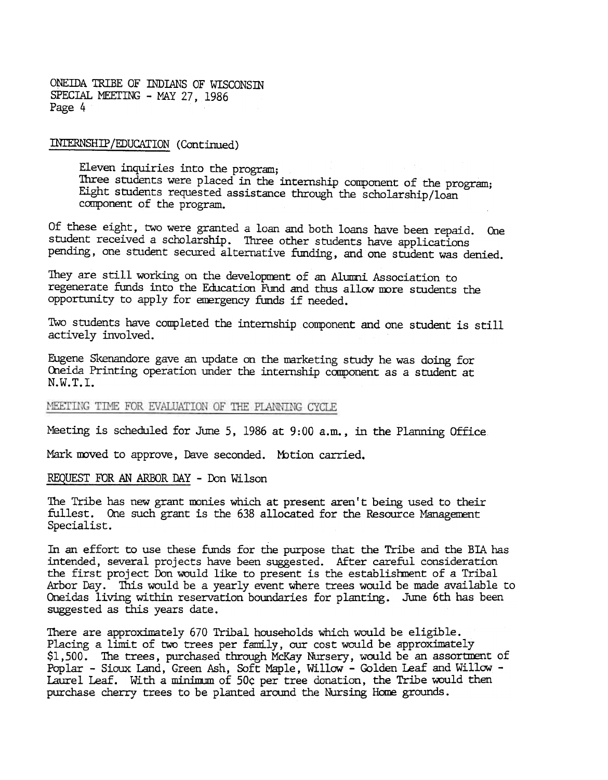ONEIDA TRIBE OF INDIANS OF WISCONSIN SPECIAL MEETING - MAY 27, 1986 Page 4

INTERNSHIP/EDUCATION (Continued)

Eleven inquiries into the program; Three students were placed in the internship component of the program; Eight students requested assistance through the scholarship/loan ccmponent of the program.

Of these eight, two were granted a loan and both loans have been repaid. One student received a scholarship. Three other students have applications pending, one student secured alternative funding, and one student was denied.

They are still working on the development of an Alumni Association to regenerate funds into the Education Fund and thus allow more students the opportunity to apply for emergency funds if needed.

Two students have completed the internship component and one student is still actively involved.

Eugene Skenandore gave an update on the narketing study he was doing for Oneida Printing operation under the internship component as a student at N.W.T.I.

### MEETING TIME FOR EVALUATION OF THE PLANNING CYCLE

Meeting is scheduled for June 5, 1986 at 9:00 a.m., in the Planning Office

Mark moved to approve, Dave seconded. Motion carried.

REQUEST FOR AN ARBOR DAY - Don Wilson

The Tribe has new grant monies which at present aren't being used to their fullest. One such grant is the 638 allocated for the Resource Management Specialist.

In an effort to use these funds for the purpose that the Tribe and the BIA has intended, several projects have been suggested. After careful consideration the first project Don would like to present is the establishment of a Tribal Arbor Day. This would be a yearly event where trees would be made available to Oneidas living within reservation boundaries for planting. June 6th has been suggested as this years date.

There are approximately 670 Tribal households which would be eligible. Placing a limit of two trees per family, our cost would be approximately \$1,500. The trees, purchased through McKay Nursery, would be an assortment of Poplar - Sioux Land, Green Ash, Soft Maple, Willow - Golden Leaf and Willow -Laurel Leaf. With a minimum of 50c per tree donation, the Tribe would then purchase cherry trees to be planted around the Nursing Home grounds.